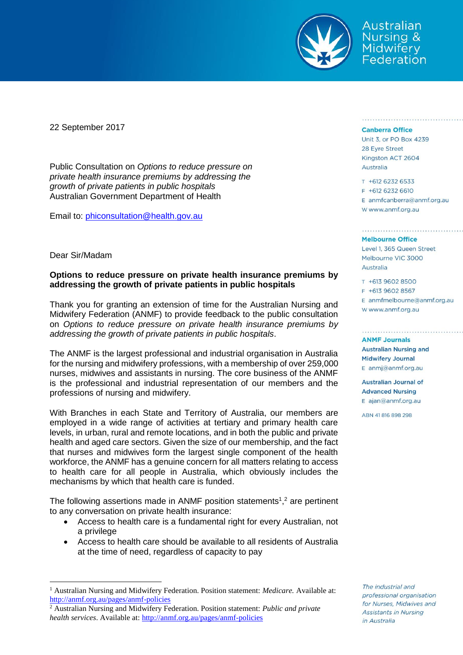

Australian **Nursing & Midwifery** Federation

22 September 2017

Public Consultation on *Options to reduce pressure on private health insurance premiums by addressing the growth of private patients in public hospitals* Australian Government Department of Health

Email to: [phiconsultation@health.gov.au](mailto:phiconsultation@health.gov.au)

Dear Sir/Madam

 $\overline{a}$ 

## **Options to reduce pressure on private health insurance premiums by addressing the growth of private patients in public hospitals**

Thank you for granting an extension of time for the Australian Nursing and Midwifery Federation (ANMF) to provide feedback to the public consultation on *Options to reduce pressure on private health insurance premiums by addressing the growth of private patients in public hospitals*.

The ANMF is the largest professional and industrial organisation in Australia for the nursing and midwifery professions, with a membership of over 259,000 nurses, midwives and assistants in nursing. The core business of the ANMF is the professional and industrial representation of our members and the professions of nursing and midwifery.

With Branches in each State and Territory of Australia, our members are employed in a wide range of activities at tertiary and primary health care levels, in urban, rural and remote locations, and in both the public and private health and aged care sectors. Given the size of our membership, and the fact that nurses and midwives form the largest single component of the health workforce, the ANMF has a genuine concern for all matters relating to access to health care for all people in Australia, which obviously includes the mechanisms by which that health care is funded.

The following assertions made in ANMF position statements<sup>1</sup>,<sup>2</sup> are pertinent to any conversation on private health insurance:

- Access to health care is a fundamental right for every Australian, not a privilege
- Access to health care should be available to all residents of Australia at the time of need, regardless of capacity to pay

## **Canberra Office**

Unit 3, or PO Box 4239 28 Eyre Street Kingston ACT 2604 Australia

T +612 6232 6533 F +612 6232 6610  $E$  anmfcanberra@anmf.org.au w www.anmf.org.au

a provincia a area estable a area establecere e establecere en

## **Melbourne Office**

Level 1, 365 Queen Street Melbourne VIC 3000 Australia

T +613 9602 8500 F +613 9602 8567  $E$  anmfmelbourne@anmf.org.au W www.anmf.org.au

**ANME Journals Australian Nursing and Midwifery Journal** E anmj@anmf.org.au

Australian Journal of **Advanced Nursing** E ajan@anmf.org.au

ABN 41816898298

The industrial and professional organisation for Nurses, Midwives and Assistants in Nursing in Australia

<sup>&</sup>lt;sup>1</sup> Australian Nursing and Midwifery Federation. Position statement: *Medicare*. Available at: <http://anmf.org.au/pages/anmf-policies>

<sup>2</sup> Australian Nursing and Midwifery Federation. Position statement: *Public and private health services*. Available at:<http://anmf.org.au/pages/anmf-policies>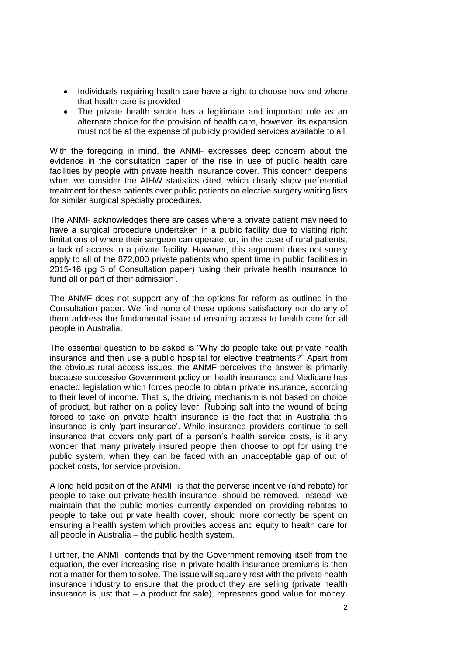- Individuals requiring health care have a right to choose how and where that health care is provided
- The private health sector has a legitimate and important role as an alternate choice for the provision of health care, however, its expansion must not be at the expense of publicly provided services available to all.

With the foregoing in mind, the ANMF expresses deep concern about the evidence in the consultation paper of the rise in use of public health care facilities by people with private health insurance cover. This concern deepens when we consider the AIHW statistics cited, which clearly show preferential treatment for these patients over public patients on elective surgery waiting lists for similar surgical specialty procedures.

The ANMF acknowledges there are cases where a private patient may need to have a surgical procedure undertaken in a public facility due to visiting right limitations of where their surgeon can operate; or, in the case of rural patients, a lack of access to a private facility. However, this argument does not surely apply to all of the 872,000 private patients who spent time in public facilities in 2015-16 (pg 3 of Consultation paper) 'using their private health insurance to fund all or part of their admission'.

The ANMF does not support any of the options for reform as outlined in the Consultation paper. We find none of these options satisfactory nor do any of them address the fundamental issue of ensuring access to health care for all people in Australia.

The essential question to be asked is "Why do people take out private health insurance and then use a public hospital for elective treatments?" Apart from the obvious rural access issues, the ANMF perceives the answer is primarily because successive Government policy on health insurance and Medicare has enacted legislation which forces people to obtain private insurance, according to their level of income. That is, the driving mechanism is not based on choice of product, but rather on a policy lever. Rubbing salt into the wound of being forced to take on private health insurance is the fact that in Australia this insurance is only 'part-insurance'. While insurance providers continue to sell insurance that covers only part of a person's health service costs, is it any wonder that many privately insured people then choose to opt for using the public system, when they can be faced with an unacceptable gap of out of pocket costs, for service provision.

A long held position of the ANMF is that the perverse incentive (and rebate) for people to take out private health insurance, should be removed. Instead, we maintain that the public monies currently expended on providing rebates to people to take out private health cover, should more correctly be spent on ensuring a health system which provides access and equity to health care for all people in Australia – the public health system.

Further, the ANMF contends that by the Government removing itself from the equation, the ever increasing rise in private health insurance premiums is then not a matter for them to solve. The issue will squarely rest with the private health insurance industry to ensure that the product they are selling (private health insurance is just that – a product for sale), represents good value for money.